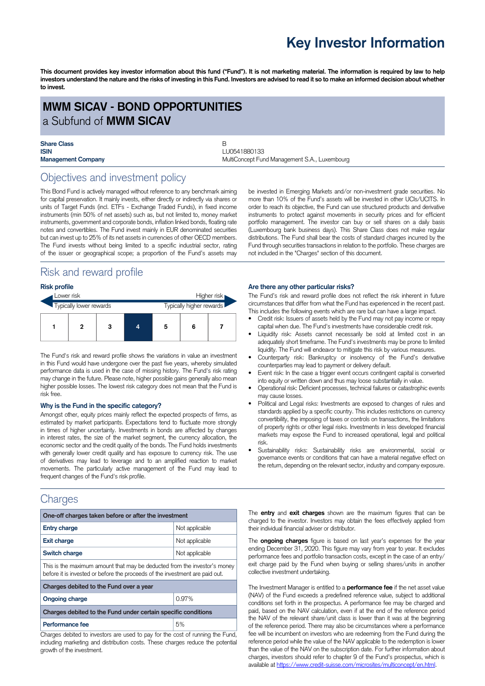# **Key Investor Information**

This document provides key investor information about this fund ("Fund"). It is not marketing material. The information is required by law to help investors understand the nature and the risks of investing in this Fund. Investors are advised to read it so to make an informed decision about whether **to invest.**

### **MWM SICAV - BOND OPPORTUNITIES** a Subfund of **MWM SICAV**

| <b>Share Class</b>        |  |
|---------------------------|--|
| <b>ISIN</b>               |  |
| <b>Management Company</b> |  |

**ISIN** LU0541880133 **MultiConcept Fund Management Company MultiConcept Fund Management S.A., Luxembourg** 

# Objectives and investment policy

This Bond Fund is actively managed without reference to any benchmark aiming for capital preservation. It mainly invests, either directly or indirectly via shares or units of Target Funds (incl. ETFs - Exchange Traded Funds), in fixed income instruments (min 50% of net assets) such as, but not limited to, money market instruments, government and corporate bonds, inflation linked bonds, floating rate notes and convertibles. The Fund invest mainly in EUR denominated securities but can invest up to 25% of its net assets in currencies of other OECD members. The Fund invests without being limited to a specific industrial sector, rating of the issuer or geographical scope; a proportion of the Fund's assets may

# Risk and reward profile

### **Risk profile**

| Lower risk              |  |   |  |   |                          | Higher risk |
|-------------------------|--|---|--|---|--------------------------|-------------|
| Typically lower rewards |  |   |  |   | Typically higher rewards |             |
|                         |  | 3 |  | 5 | 6                        |             |

The Fund's risk and reward profile shows the variations in value an investment in this Fund would have undergone over the past five years, whereby simulated performance data is used in the case of missing history. The Fund's risk rating may change in the future. Please note, higher possible gains generally also mean higher possible losses. The lowest risk category does not mean that the Fund is risk free.

#### **Why is the Fund in the specific category?**

Amongst other, equity prices mainly reflect the expected prospects of firms, as estimated by market participants. Expectations tend to fluctuate more strongly in times of higher uncertainty. Investments in bonds are affected by changes in interest rates, the size of the market segment, the currency allocation, the economic sector and the credit quality of the bonds. The Fund holds investments with generally lower credit quality and has exposure to currency risk. The use of derivatives may lead to leverage and to an amplified reaction to market movements. The particularly active management of the Fund may lead to frequent changes of the Fund's risk profile.

## **Charges**

| One-off charges taken before or after the investment                                                                                                      |                |  |  |  |
|-----------------------------------------------------------------------------------------------------------------------------------------------------------|----------------|--|--|--|
| <b>Entry charge</b>                                                                                                                                       | Not applicable |  |  |  |
| <b>Exit charge</b>                                                                                                                                        | Not applicable |  |  |  |
| Switch charge<br>Not applicable                                                                                                                           |                |  |  |  |
| This is the maximum amount that may be deducted from the investor's money<br>before it is invested or before the proceeds of the investment are paid out. |                |  |  |  |
| Charges debited to the Fund over a year                                                                                                                   |                |  |  |  |
| <b>Ongoing charge</b>                                                                                                                                     | 0.97%          |  |  |  |
| Charges debited to the Fund under certain specific conditions                                                                                             |                |  |  |  |
| Performance fee<br>$\sim$ $\sim$                                                                                                                          | 5%<br>$\cdots$ |  |  |  |

Charges debited to investors are used to pay for the cost of running the Fund, including marketing and distribution costs. These charges reduce the potential growth of the investment.

be invested in Emerging Markets and/or non-investment grade securities. No more than 10% of the Fund's assets will be invested in other UCIs/UCITS. In order to reach its objective, the Fund can use structured products and derivative instruments to protect against movements in security prices and for efficient portfolio management. The investor can buy or sell shares on a daily basis (Luxembourg bank business days). This Share Class does not make regular distributions. The Fund shall bear the costs of standard charges incurred by the Fund through securities transactions in relation to the portfolio. These charges are not included in the "Charges" section of this document.

### **Are there any other particular risks?**

The Fund's risk and reward profile does not reflect the risk inherent in future circumstances that differ from what the Fund has experienced in the recent past. This includes the following events which are rare but can have a large impact.

- Credit risk: Issuers of assets held by the Fund may not pay income or repay capital when due. The Fund's investments have considerable credit risk.
- Liquidity risk: Assets cannot necessarily be sold at limited cost in an adequately short timeframe. The Fund's investments may be prone to limited liquidity. The Fund will endeavor to mitigate this risk by various measures.
- Counterparty risk: Bankruptcy or insolvency of the Fund's derivative counterparties may lead to payment or delivery default.
- Event risk: In the case a trigger event occurs contingent capital is converted into equity or written down and thus may loose substantially in value.
- Operational risk: Deficient processes, technical failures or catastrophic events may cause losses.
- Political and Legal risks: Investments are exposed to changes of rules and standards applied by a specific country. This includes restrictions on currency convertibility, the imposing of taxes or controls on transactions, the limitations of property rights or other legal risks. Investments in less developed financial markets may expose the Fund to increased operational, legal and political risk.
- Sustainability risks: Sustainability risks are environmental, social or governance events or conditions that can have a material negative effect on the return, depending on the relevant sector, industry and company exposure.

The **entry** and **exit charges** shown are the maximum figures that can be charged to the investor. Investors may obtain the fees effectively applied from their individual financial adviser or distributor.

The **ongoing charges** figure is based on last year's expenses for the year ending December 31, 2020. This figure may vary from year to year. It excludes performance fees and portfolio transaction costs, except in the case of an entry/ exit charge paid by the Fund when buying or selling shares/units in another collective investment undertaking.

The Investment Manager is entitled to a **performance fee** if the net asset value (NAV) of the Fund exceeds a predefined reference value, subject to additional conditions set forth in the prospectus. A performance fee may be charged and paid, based on the NAV calculation, even if at the end of the reference period the NAV of the relevant share/unit class is lower than it was at the beginning of the reference period. There may also be circumstances where a performance fee will be incumbent on investors who are redeeming from the Fund during the reference period while the value of the NAV applicable to the redemption is lower than the value of the NAV on the subscription date. For further information about charges, investors should refer to chapter 9 of the Fund's prospectus, which is available at [https://www.credit-suisse.com/microsites/multiconcept/en.html.](https://www.credit-suisse.com/microsites/multiconcept/en.html)